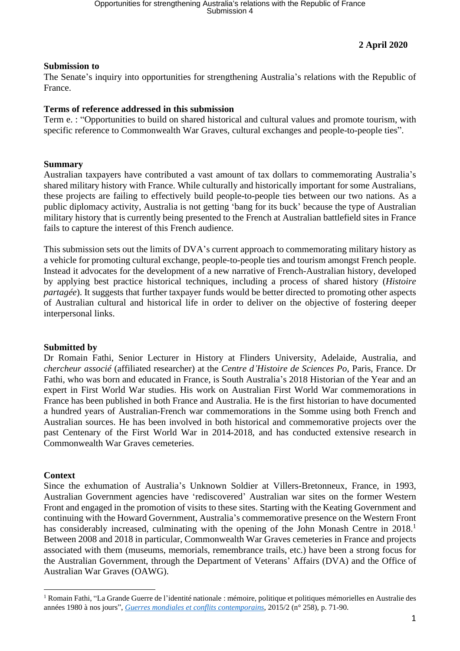# **2 April 2020**

## **Submission to**

The Senate's inquiry into opportunities for strengthening Australia's relations with the Republic of France.

#### **Terms of reference addressed in this submission**

Term e. : "Opportunities to build on shared historical and cultural values and promote tourism, with specific reference to Commonwealth War Graves, cultural exchanges and people-to-people ties".

#### **Summary**

Australian taxpayers have contributed a vast amount of tax dollars to commemorating Australia's shared military history with France. While culturally and historically important for some Australians, these projects are failing to effectively build people-to-people ties between our two nations. As a public diplomacy activity, Australia is not getting 'bang for its buck' because the type of Australian military history that is currently being presented to the French at Australian battlefield sites in France fails to capture the interest of this French audience.

This submission sets out the limits of DVA's current approach to commemorating military history as a vehicle for promoting cultural exchange, people-to-people ties and tourism amongst French people. Instead it advocates for the development of a new narrative of French-Australian history, developed by applying best practice historical techniques, including a process of shared history (*Histoire partagée*). It suggests that further taxpayer funds would be better directed to promoting other aspects of Australian cultural and historical life in order to deliver on the objective of fostering deeper interpersonal links.

## **Submitted by**

Dr Romain Fathi, Senior Lecturer in History at Flinders University, Adelaide, Australia, and *chercheur associé* (affiliated researcher) at the *Centre d'Histoire de Sciences Po*, Paris, France. Dr Fathi, who was born and educated in France, is South Australia's 2018 Historian of the Year and an expert in First World War studies. His work on Australian First World War commemorations in France has been published in both France and Australia. He is the first historian to have documented a hundred years of Australian-French war commemorations in the Somme using both French and Australian sources. He has been involved in both historical and commemorative projects over the past Centenary of the First World War in 2014-2018, and has conducted extensive research in Commonwealth War Graves cemeteries.

#### **Context**

Since the exhumation of Australia's Unknown Soldier at Villers-Bretonneux, France, in 1993, Australian Government agencies have 'rediscovered' Australian war sites on the former Western Front and engaged in the promotion of visits to these sites. Starting with the Keating Government and continuing with the Howard Government, Australia's commemorative presence on the Western Front has considerably increased, culminating with the opening of the John Monash Centre in 2018.<sup>1</sup> Between 2008 and 2018 in particular, Commonwealth War Graves cemeteries in France and projects associated with them (museums, memorials, remembrance trails, etc.) have been a strong focus for the Australian Government, through the Department of Veterans' Affairs (DVA) and the Office of Australian War Graves (OAWG).

<sup>1</sup> Romain Fathi, "La Grande Guerre de l'identité nationale : mémoire, politique et politiques mémorielles en Australie des années 1980 à nos jours", *Guerres mondiales et conflits [contemporains](https://www.cairn.info/revue-guerres-mondiales-et-conflits-contemporains-2015-2-page-71.htm?contenu=article)*, 2015/2 (n° 258), p. 71-90.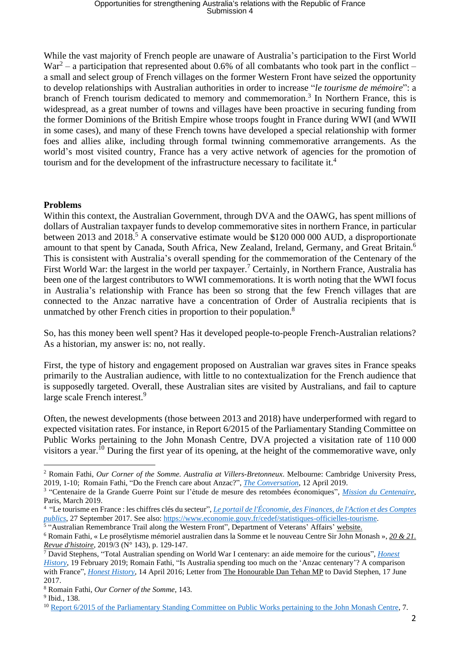While the vast majority of French people are unaware of Australia's participation to the First World  $War<sup>2</sup> - a participation that represented about 0.6% of all combatants who took part in the conflict –$ a small and select group of French villages on the former Western Front have seized the opportunity to develop relationships with Australian authorities in order to increase "*le tourisme de mémoire*": a branch of French tourism dedicated to memory and commemoration.<sup>3</sup> In Northern France, this is widespread, as a great number of towns and villages have been proactive in securing funding from the former Dominions of the British Empire whose troops fought in France during WWI (and WWII in some cases), and many of these French towns have developed a special relationship with former foes and allies alike, including through formal twinning commemorative arrangements. As the world's most visited country, France has a very active network of agencies for the promotion of tourism and for the development of the infrastructure necessary to facilitate it.<sup>4</sup>

## **Problems**

Within this context, the Australian Government, through DVA and the OAWG, has spent millions of dollars of Australian taxpayer funds to develop commemorative sites in northern France, in particular between 2013 and 2018.<sup>5</sup> A conservative estimate would be \$120 000 000 AUD, a disproportionate amount to that spent by Canada, South Africa, New Zealand, Ireland, Germany, and Great Britain.<sup>6</sup> This is consistent with Australia's overall spending for the commemoration of the Centenary of the First World War: the largest in the world per taxpayer.<sup>7</sup> Certainly, in Northern France, Australia has been one of the largest contributors to WWI commemorations. It is worth noting that the WWI focus in Australia's relationship with France has been so strong that the few French villages that are connected to the Anzac narrative have a concentration of Order of Australia recipients that is unmatched by other French cities in proportion to their population.<sup>8</sup>

So, has this money been well spent? Has it developed people-to-people French-Australian relations? As a historian, my answer is: no, not really.

First, the type of history and engagement proposed on Australian war graves sites in France speaks primarily to the Australian audience, with little to no contextualization for the French audience that is supposedly targeted. Overall, these Australian sites are visited by Australians, and fail to capture large scale French interest.<sup>9</sup>

Often, the newest developments (those between 2013 and 2018) have underperformed with regard to expected visitation rates. For instance, in Report 6/2015 of the Parliamentary Standing Committee on Public Works pertaining to the John Monash Centre, DVA projected a visitation rate of 110 000 visitors a year.<sup>10</sup> During the first year of its opening, at the height of the commemorative wave, only

<sup>2</sup> Romain Fathi, *Our Corner of the Somme. Australia at Villers-Bretonneux*. Melbourne: Cambridge University Press, 2019, 1-10; Romain Fathi, "Do the French care about Anzac?", *The [Conversation](https://theconversation.com/friday-essay-do-the-french-care-about-anzac-110880)*, 12 April 2019.

<sup>3</sup> "Centenaire de la Grande Guerre Point sur l'étude de mesure des retombées économiques", *Mission du [Centenaire](http://www.prefectures-regions.gouv.fr/hauts-de-france/content/download/56363/371325/file/Pre%25CC%2581sentation%2520Etude%2520Mission%2520Centenaire_12_03.pdf)*, Paris, March 2019.

<sup>4</sup> "Le tourisme en France : les chiffres clés du secteur", *Le portail de [l'Économie,](https://www.economie.gouv.fr/entreprises/tourisme-en-france-chiffres-cles-secteur) des Finances, de l'Action et des Comptes* [publics](https://www.economie.gouv.fr/entreprises/tourisme-en-france-chiffres-cles-secteur), 27 September 2017. See also: [https://www.economie.gouv.fr/cedef/statistiques-officielles-tourisme.](https://www.economie.gouv.fr/cedef/statistiques-officielles-tourisme)<sup>5</sup> "Australian Remembrance Trail along the Western Front", Department of Veterans' Affairs' [website.](https://www.dva.gov.au/newsroom/media-centre/media-backgrounders/australian-remembrance-trail-along-western-front)

<sup>6</sup> Romain Fathi, « Le prosélytisme mémoriel australien dans la Somme et le nouveau Centre Sir John Monash », *20 & [21.](https://www.cairn.info/revue-vingt-et-vingt-et-un-revue-d-histoire-2019-3-page-129.htm) Revue [d'histoire](https://www.cairn.info/revue-vingt-et-vingt-et-un-revue-d-histoire-2019-3-page-129.htm)*, 2019/3 (N° 143), p. 129-147.

<sup>7</sup> David Stephens, "Total Australian spending on World War I centenary: an aide memoire for the curious", *[Honest](http://honesthistory.net.au/wp/stephens-david-total-australian-spending-on-world-war-i-centenary-an-aide-memoire-for-the-curious/) [History](http://honesthistory.net.au/wp/stephens-david-total-australian-spending-on-world-war-i-centenary-an-aide-memoire-for-the-curious/)*, 19 February 2019; Romain Fathi, "Is Australia spending too much on the 'Anzac centenary'? A comparison with France", *Honest [History](http://honesthistory.net.au/wp/is-australia-spending-too-much-on-the-anzac-centenary-a-comparison-with-france/)*, 14 April 2016; Letter from *The [Honourable](http://honesthistory.net.au/wp/wp-content/uploads/TehanLtr.pdf) Dan Tehan MP* to David Stephen, 17 June 2017.

<sup>8</sup> Romain Fathi, *Our Corner of the Somme*, 143.

<sup>9</sup> Ibid., 138.

<sup>10</sup> Report 6/2015 of the Parliamentary Standing Committee on Public Works pertaining to the John Monash Centre, 7.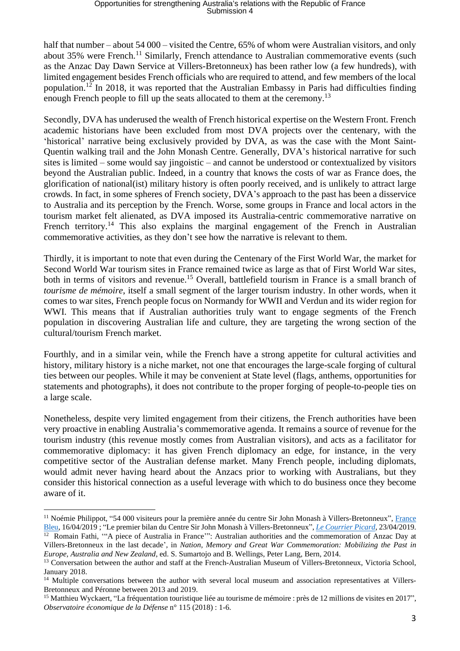half that number – about 54 000 – visited the Centre, 65% of whom were Australian visitors, and only about 35% were French.<sup>11</sup> Similarly, French attendance to Australian commemorative events (such as the Anzac Day Dawn Service at Villers-Bretonneux) has been rather low (a few hundreds), with limited engagement besides French officials who are required to attend, and few members of the local population.<sup>12</sup> In 2018, it was reported that the Australian Embassy in Paris had difficulties finding enough French people to fill up the seats allocated to them at the ceremony.<sup>13</sup>

Secondly, DVA has underused the wealth of French historical expertise on the Western Front. French academic historians have been excluded from most DVA projects over the centenary, with the 'historical' narrative being exclusively provided by DVA, as was the case with the Mont Saint-Quentin walking trail and the John Monash Centre. Generally, DVA's historical narrative for such sites is limited – some would say jingoistic – and cannot be understood or contextualized by visitors beyond the Australian public. Indeed, in a country that knows the costs of war as France does, the glorification of national(ist) military history is often poorly received, and is unlikely to attract large crowds. In fact, in some spheres of French society, DVA's approach to the past has been a disservice to Australia and its perception by the French. Worse, some groups in France and local actors in the tourism market felt alienated, as DVA imposed its Australia-centric commemorative narrative on French territory.<sup>14</sup> This also explains the marginal engagement of the French in Australian commemorative activities, as they don't see how the narrative is relevant to them.

Thirdly, it is important to note that even during the Centenary of the First World War, the market for Second World War tourism sites in France remained twice as large as that of First World War sites, both in terms of visitors and revenue.<sup>15</sup> Overall, battlefield tourism in France is a small branch of *tourisme de mémoire*, itself a small segment of the larger tourism industry. In other words, when it comes to war sites, French people focus on Normandy for WWII and Verdun and its wider region for WWI. This means that if Australian authorities truly want to engage segments of the French population in discovering Australian life and culture, they are targeting the wrong section of the cultural/tourism French market.

Fourthly, and in a similar vein, while the French have a strong appetite for cultural activities and history, military history is a niche market, not one that encourages the large-scale forging of cultural ties between our peoples. While it may be convenient at State level (flags, anthems, opportunities for statements and photographs), it does not contribute to the proper forging of people-to-people ties on a large scale.

Nonetheless, despite very limited engagement from their citizens, the French authorities have been very proactive in enabling Australia's commemorative agenda. It remains a source of revenue for the tourism industry (this revenue mostly comes from Australian visitors), and acts as a facilitator for commemorative diplomacy: it has given French diplomacy an edge, for instance, in the very competitive sector of the Australian defense market. Many French people, including diplomats, would admit never having heard about the Anzacs prior to working with Australians, but they consider this historical connection as a useful leverage with which to do business once they become aware of it.

<sup>&</sup>lt;sup>11</sup> Noémie Philippot, "54 000 visiteurs pour la première année du centre Sir John Monash à Villers-Bretonneux", [France](https://www.francebleu.fr/infos/culture-loisirs/54-000-visiteurs-pour-la-premiere-annee-du-centre-sir-john-monash-a-villers-bretonneux-1555443499) [Bleu,](https://www.francebleu.fr/infos/culture-loisirs/54-000-visiteurs-pour-la-premiere-annee-du-centre-sir-john-monash-a-villers-bretonneux-1555443499) 16/04/2019 ; "Le premier bilan du Centre Sir John Monash à Villers-Bretonneux", *Le [Courrier](https://premium.courrier-picard.fr/id6105/article/2019-04-23/le-premier-bilan-du-centre-sir-john-monash-villers-bretonneux) Picard*, 23/04/2019. <sup>12</sup> Romain Fathi, "A piece of Australia in France"": Australian authorities and the commemoration of Anzac Day at

Villers-Bretonneux in the last decade', in *Nation, Memory and Great War Commemoration: Mobilizing the Past in Europe, Australia and New Zealand*, ed. S. Sumartojo and B. Wellings, Peter Lang, Bern, 2014.

<sup>&</sup>lt;sup>13</sup> Conversation between the author and staff at the French-Australian Museum of Villers-Bretonneux, Victoria School, January 2018.

<sup>&</sup>lt;sup>14</sup> Multiple conversations between the author with several local museum and association representatives at Villers-Bretonneux and Péronne between 2013 and 2019.

<sup>&</sup>lt;sup>15</sup> Matthieu Wyckaert, "La fréquentation touristique liée au tourisme de mémoire : près de 12 millions de visites en 2017", *Observatoire économique de la Défense* n° 115 (2018) : 1-6.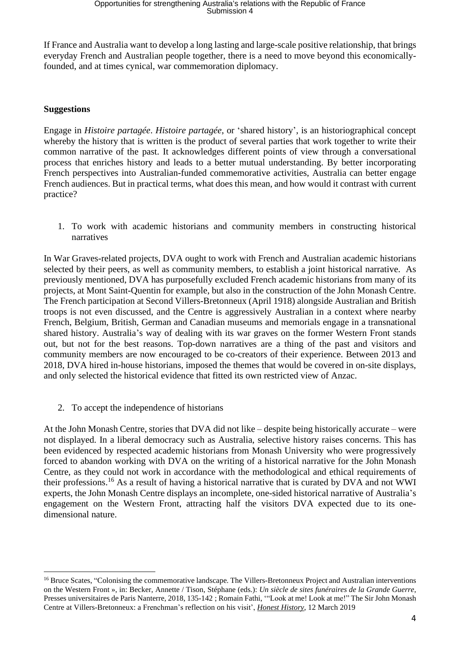If France and Australia want to develop a long lasting and large-scale positive relationship, that brings everyday French and Australian people together, there is a need to move beyond this economicallyfounded, and at times cynical, war commemoration diplomacy.

## **Suggestions**

Engage in *Histoire partagée*. *Histoire partagée*, or 'shared history', is an historiographical concept whereby the history that is written is the product of several parties that work together to write their common narrative of the past. It acknowledges different points of view through a conversational process that enriches history and leads to a better mutual understanding. By better incorporating French perspectives into Australian-funded commemorative activities, Australia can better engage French audiences. But in practical terms, what does this mean, and how would it contrast with current practice?

1. To work with academic historians and community members in constructing historical narratives

In War Graves-related projects, DVA ought to work with French and Australian academic historians selected by their peers, as well as community members, to establish a joint historical narrative. As previously mentioned, DVA has purposefully excluded French academic historians from many of its projects, at Mont Saint-Quentin for example, but also in the construction of the John Monash Centre. The French participation at Second Villers-Bretonneux (April 1918) alongside Australian and British troops is not even discussed, and the Centre is aggressively Australian in a context where nearby French, Belgium, British, German and Canadian museums and memorials engage in a transnational shared history. Australia's way of dealing with its war graves on the former Western Front stands out, but not for the best reasons. Top-down narratives are a thing of the past and visitors and community members are now encouraged to be co-creators of their experience. Between 2013 and 2018, DVA hired in-house historians, imposed the themes that would be covered in on-site displays, and only selected the historical evidence that fitted its own restricted view of Anzac.

2. To accept the independence of historians

At the John Monash Centre, stories that DVA did not like – despite being historically accurate – were not displayed. In a liberal democracy such as Australia, selective history raises concerns. This has been evidenced by respected academic historians from Monash University who were progressively forced to abandon working with DVA on the writing of a historical narrative for the John Monash Centre, as they could not work in accordance with the methodological and ethical requirements of their professions.<sup>16</sup> As a result of having a historical narrative that is curated by DVA and not WWI experts, the John Monash Centre displays an incomplete, one-sided historical narrative of Australia's engagement on the Western Front, attracting half the visitors DVA expected due to its onedimensional nature.

<sup>&</sup>lt;sup>16</sup> Bruce Scates, "Colonising the commemorative landscape. The Villers-Bretonneux Project and Australian interventions on the Western Front », in: Becker, Annette / Tison, Stéphane (eds.): *Un siècle de sites funéraires de la Grande Guerre*, Presses universitaires de Paris Nanterre, 2018, 135-142 ; Romain Fathi, '"Look at me! Look at me!" The Sir John Monash Centre at Villers-Bretonneux: a Frenchman's reflection on his visit', *Honest [History](http://honesthistory.net.au/wp/fathi-romain-look-at-me-look-at-me-the-sir-john-monash-centre-at-villers-bretonneux-a-frenchmans-reflection-on-his-visit/)*, 12 March 2019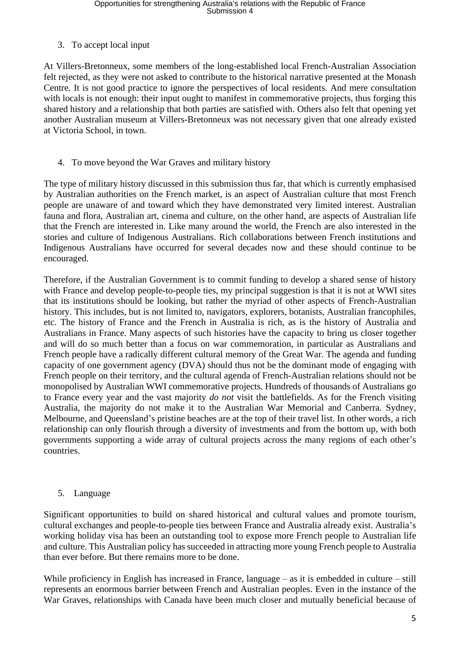# 3. To accept local input

At Villers-Bretonneux, some members of the long-established local French-Australian Association felt rejected, as they were not asked to contribute to the historical narrative presented at the Monash Centre. It is not good practice to ignore the perspectives of local residents. And mere consultation with locals is not enough: their input ought to manifest in commemorative projects, thus forging this shared history and a relationship that both parties are satisfied with. Others also felt that opening yet another Australian museum at Villers-Bretonneux was not necessary given that one already existed at Victoria School, in town.

# 4. To move beyond the War Graves and military history

The type of military history discussed in this submission thus far, that which is currently emphasised by Australian authorities on the French market, is an aspect of Australian culture that most French people are unaware of and toward which they have demonstrated very limited interest. Australian fauna and flora, Australian art, cinema and culture, on the other hand, are aspects of Australian life that the French are interested in. Like many around the world, the French are also interested in the stories and culture of Indigenous Australians. Rich collaborations between French institutions and Indigenous Australians have occurred for several decades now and these should continue to be encouraged.

Therefore, if the Australian Government is to commit funding to develop a shared sense of history with France and develop people-to-people ties, my principal suggestion is that it is not at WWI sites that its institutions should be looking, but rather the myriad of other aspects of French-Australian history. This includes, but is not limited to, navigators, explorers, botanists, Australian francophiles, etc. The history of France and the French in Australia is rich, as is the history of Australia and Australians in France. Many aspects of such histories have the capacity to bring us closer together and will do so much better than a focus on war commemoration, in particular as Australians and French people have a radically different cultural memory of the Great War. The agenda and funding capacity of one government agency (DVA) should thus not be the dominant mode of engaging with French people on their territory, and the cultural agenda of French-Australian relations should not be monopolised by Australian WWI commemorative projects. Hundreds of thousands of Australians go to France every year and the vast majority *do not* visit the battlefields. As for the French visiting Australia, the majority do not make it to the Australian War Memorial and Canberra. Sydney, Melbourne, and Queensland's pristine beaches are at the top of their travel list. In other words, a rich relationship can only flourish through a diversity of investments and from the bottom up, with both governments supporting a wide array of cultural projects across the many regions of each other's countries.

## 5. Language

Significant opportunities to build on shared historical and cultural values and promote tourism, cultural exchanges and people-to-people ties between France and Australia already exist. Australia's working holiday visa has been an outstanding tool to expose more French people to Australian life and culture. This Australian policy has succeeded in attracting more young French people to Australia than ever before. But there remains more to be done.

While proficiency in English has increased in France, language – as it is embedded in culture – still represents an enormous barrier between French and Australian peoples. Even in the instance of the War Graves, relationships with Canada have been much closer and mutually beneficial because of